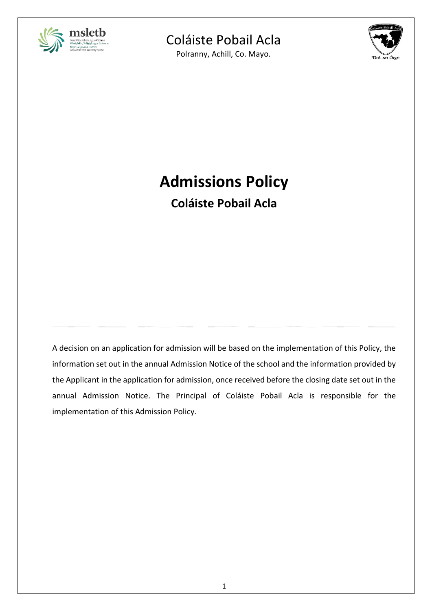

Polranny, Achill, Co. Mayo.



# **Admissions Policy**

**Coláiste Pobail Acla**

A decision on an application for admission will be based on the implementation of this Policy, the information set out in the annual Admission Notice of the school and the information provided by the Applicant in the application for admission, once received before the closing date set out in the annual Admission Notice. The Principal of Coláiste Pobail Acla is responsible for the implementation of this Admission Policy.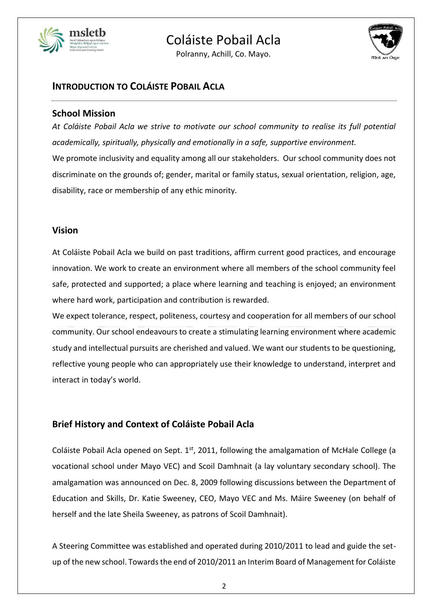

Polranny, Achill, Co. Mayo.



## **INTRODUCTION TO COLÁISTE POBAIL ACLA**

## **School Mission**

*At Coláiste Pobail Acla we strive to motivate our school community to realise its full potential academically, spiritually, physically and emotionally in a safe, supportive environment.* We promote inclusivity and equality among all our stakeholders. Our school community does not discriminate on the grounds of; gender, marital or family status, sexual orientation, religion, age, disability, race or membership of any ethic minority.

## **Vision**

At Coláiste Pobail Acla we build on past traditions, affirm current good practices, and encourage innovation. We work to create an environment where all members of the school community feel safe, protected and supported; a place where learning and teaching is enjoyed; an environment where hard work, participation and contribution is rewarded.

We expect tolerance, respect, politeness, courtesy and cooperation for all members of our school community. Our school endeavours to create a stimulating learning environment where academic study and intellectual pursuits are cherished and valued. We want our students to be questioning, reflective young people who can appropriately use their knowledge to understand, interpret and interact in today's world.

## **Brief History and Context of Coláiste Pobail Acla**

Coláiste Pobail Acla opened on Sept.  $1<sup>st</sup>$ , 2011, following the amalgamation of McHale College (a vocational school under Mayo VEC) and Scoil Damhnait (a lay voluntary secondary school). The amalgamation was announced on Dec. 8, 2009 following discussions between the Department of Education and Skills, Dr. Katie Sweeney, CEO, Mayo VEC and Ms. Máire Sweeney (on behalf of herself and the late Sheila Sweeney, as patrons of Scoil Damhnait).

A Steering Committee was established and operated during 2010/2011 to lead and guide the setup of the new school. Towards the end of 2010/2011 an Interim Board of Management for Coláiste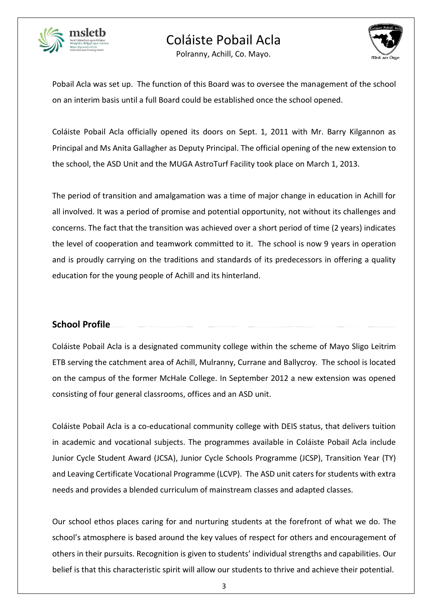

Polranny, Achill, Co. Mayo.



Pobail Acla was set up. The function of this Board was to oversee the management of the school on an interim basis until a full Board could be established once the school opened.

Coláiste Pobail Acla officially opened its doors on Sept. 1, 2011 with Mr. Barry Kilgannon as Principal and Ms Anita Gallagher as Deputy Principal. The official opening of the new extension to the school, the ASD Unit and the MUGA AstroTurf Facility took place on March 1, 2013.

The period of transition and amalgamation was a time of major change in education in Achill for all involved. It was a period of promise and potential opportunity, not without its challenges and concerns. The fact that the transition was achieved over a short period of time (2 years) indicates the level of cooperation and teamwork committed to it. The school is now 9 years in operation and is proudly carrying on the traditions and standards of its predecessors in offering a quality education for the young people of Achill and its hinterland.

## **School Profile**

Coláiste Pobail Acla is a designated community college within the scheme of Mayo Sligo Leitrim ETB serving the catchment area of Achill, Mulranny, Currane and Ballycroy. The school is located on the campus of the former McHale College. In September 2012 a new extension was opened consisting of four general classrooms, offices and an ASD unit.

Coláiste Pobail Acla is a co-educational community college with DEIS status, that delivers tuition in academic and vocational subjects. The programmes available in Coláiste Pobail Acla include Junior Cycle Student Award (JCSA), Junior Cycle Schools Programme (JCSP), Transition Year (TY) and Leaving Certificate Vocational Programme (LCVP). The ASD unit caters for students with extra needs and provides a blended curriculum of mainstream classes and adapted classes.

Our school ethos places caring for and nurturing students at the forefront of what we do. The school's atmosphere is based around the key values of respect for others and encouragement of others in their pursuits. Recognition is given to students' individual strengths and capabilities. Our belief is that this characteristic spirit will allow our students to thrive and achieve their potential.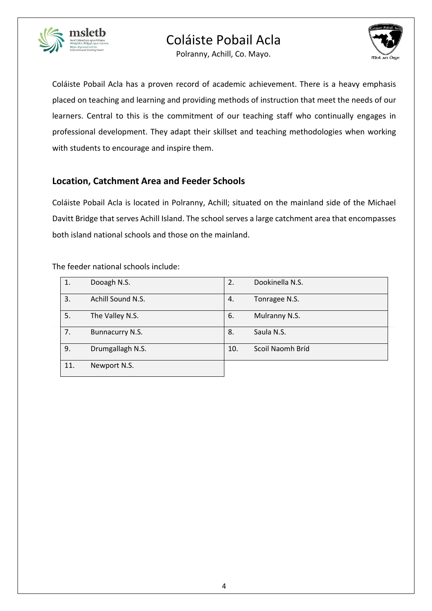





Coláiste Pobail Acla has a proven record of academic achievement. There is a heavy emphasis placed on teaching and learning and providing methods of instruction that meet the needs of our learners. Central to this is the commitment of our teaching staff who continually engages in professional development. They adapt their skillset and teaching methodologies when working with students to encourage and inspire them.

## **Location, Catchment Area and Feeder Schools**

Coláiste Pobail Acla is located in Polranny, Achill; situated on the mainland side of the Michael Davitt Bridge that serves Achill Island. The school serves a large catchment area that encompasses both island national schools and those on the mainland.

| 1.  | Dooagh N.S.       | 2.  | Dookinella N.S.  |
|-----|-------------------|-----|------------------|
| 3.  | Achill Sound N.S. | 4.  | Tonragee N.S.    |
| 5.  | The Valley N.S.   | 6.  | Mulranny N.S.    |
| 7.  | Bunnacurry N.S.   | 8.  | Saula N.S.       |
| 9.  | Drumgallagh N.S.  | 10. | Scoil Naomh Bríd |
| 11. | Newport N.S.      |     |                  |

The feeder national schools include: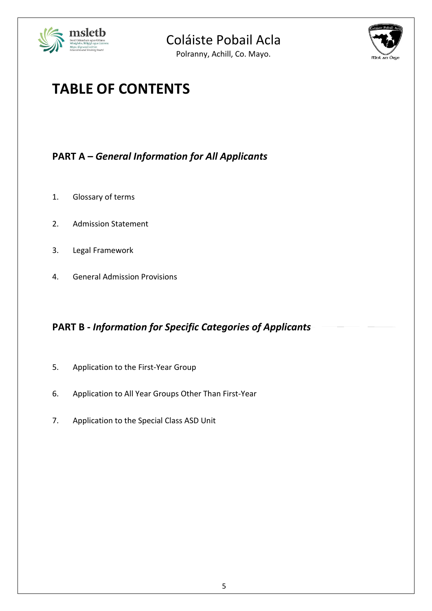



Polranny, Achill, Co. Mayo.

# **TABLE OF CONTENTS**

## **PART A –** *General Information for All Applicants*

- 1. Glossary of terms
- 2. Admission Statement
- 3. Legal Framework
- 4. General Admission Provisions

## **PART B -** *Information for Specific Categories of Applicants*

- 5. Application to the First-Year Group
- 6. Application to All Year Groups Other Than First-Year
- 7. Application to the Special Class ASD Unit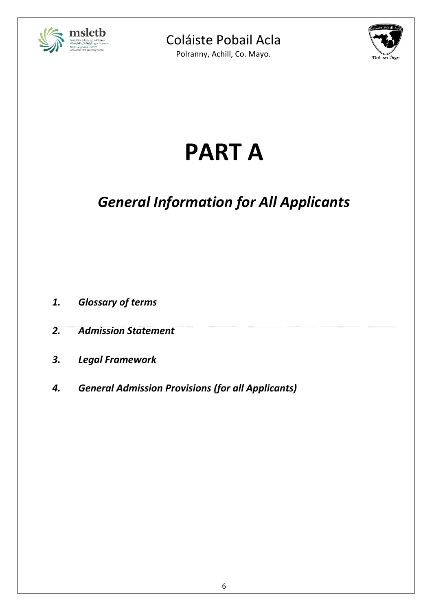

Polranny, Achill, Co. Mayo.



# **PART A**

# *General Information for All Applicants*

- *1. Glossary of terms*
- *2. Admission Statement*
- *3. Legal Framework*
- *4. General Admission Provisions (for all Applicants)*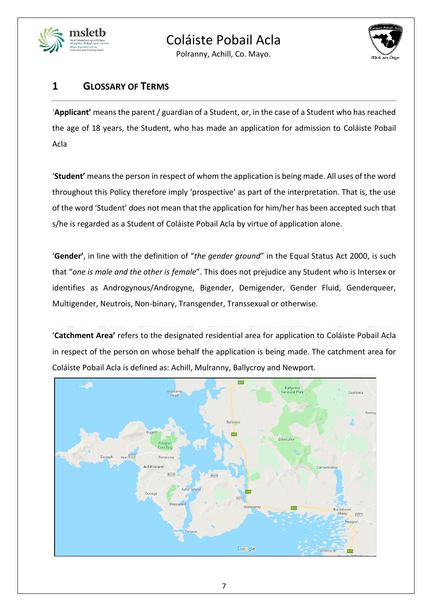

Polranny, Achill, Co. Mayo.



## **1 GLOSSARY OF TERMS**

'**Applicant'** means the parent / guardian of a Student, or, in the case of a Student who has reached the age of 18 years, the Student, who has made an application for admission to Coláiste Pobail Acla

'**Student'** means the person in respect of whom the application is being made. All uses of the word throughout this Policy therefore imply 'prospective' as part of the interpretation. That is, the use of the word 'Student' does not mean that the application for him/her has been accepted such that s/he is regarded as a Student of Coláiste Pobail Acla by virtue of application alone.

'**Gender'**, in line with the definition of "*the gender ground*" in the Equal Status Act 2000, is such that "*one is male and the other is female*". This does not prejudice any Student who is Intersex or identifies as Androgynous/Androgyne, Bigender, Demigender, Gender Fluid, Genderqueer, Multigender, Neutrois, Non-binary, Transgender, Transsexual or otherwise*.*

'**Catchment Area'** refers to the designated residential area for application to Coláiste Pobail Acla in respect of the person on whose behalf the application is being made. The catchment area for Coláiste Pobail Acla is defined as: Achill, Mulranny, Ballycroy and Newport.

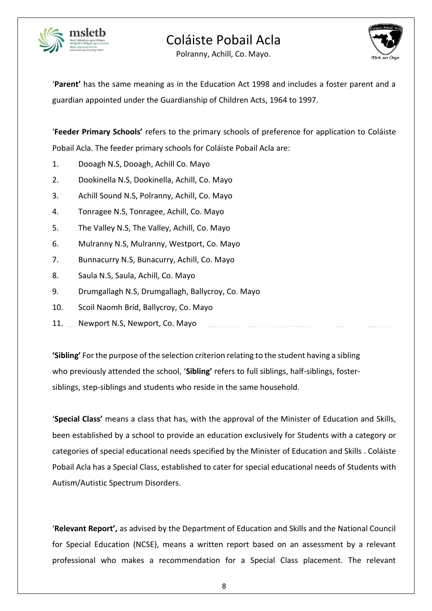

Polranny, Achill, Co. Mayo.



'**Parent'** has the same meaning as in the Education Act 1998 and includes a foster parent and a guardian appointed under the Guardianship of Children Acts, 1964 to 1997.

'**Feeder Primary Schools'** refers to the primary schools of preference for application to Coláiste Pobail Acla. The feeder primary schools for Coláiste Pobail Acla are:

- 1. Dooagh N.S, Dooagh, Achill Co. Mayo
- 2. Dookinella N.S, Dookinella, Achill, Co. Mayo
- 3. Achill Sound N.S, Polranny, Achill, Co. Mayo
- 4. Tonragee N.S, Tonragee, Achill, Co. Mayo
- 5. The Valley N.S, The Valley, Achill, Co. Mayo
- 6. Mulranny N.S, Mulranny, Westport, Co. Mayo
- 7. Bunnacurry N.S, Bunacurry, Achill, Co. Mayo
- 8. Saula N.S, Saula, Achill, Co. Mayo
- 9. Drumgallagh N.S, Drumgallagh, Ballycroy, Co. Mayo
- 10. Scoil Naomh Bríd, Ballycroy, Co. Mayo
- 11. Newport N.S, Newport, Co. Mayo

**'Sibling'** For the purpose of the selection criterion relating to the student having a sibling who previously attended the school, '**Sibling'** refers to full siblings, half-siblings, fostersiblings, step-siblings and students who reside in the same household.

'**Special Class'** means a class that has, with the approval of the Minister of Education and Skills, been established by a school to provide an education exclusively for Students with a category or categories of special educational needs specified by the Minister of Education and Skills . Coláiste Pobail Acla has a Special Class, established to cater for special educational needs of Students with Autism/Autistic Spectrum Disorders.

'**Relevant Report',** as advised by the Department of Education and Skills and the National Council for Special Education (NCSE), means a written report based on an assessment by a relevant professional who makes a recommendation for a Special Class placement. The relevant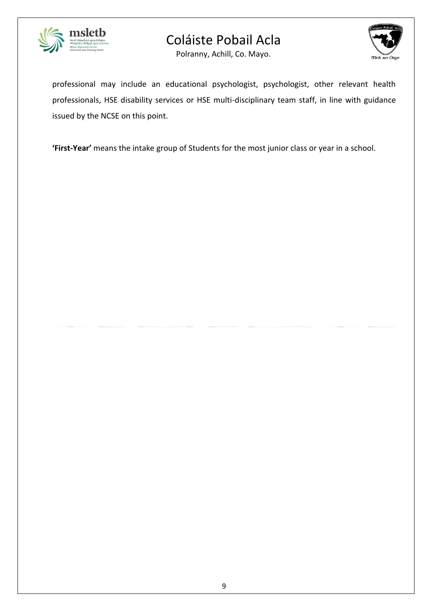

Polranny, Achill, Co. Mayo.



professional may include an educational psychologist, psychologist, other relevant health professionals, HSE disability services or HSE multi-disciplinary team staff, in line with guidance issued by the NCSE on this point.

**'First-Year'** means the intake group of Students for the most junior class or year in a school.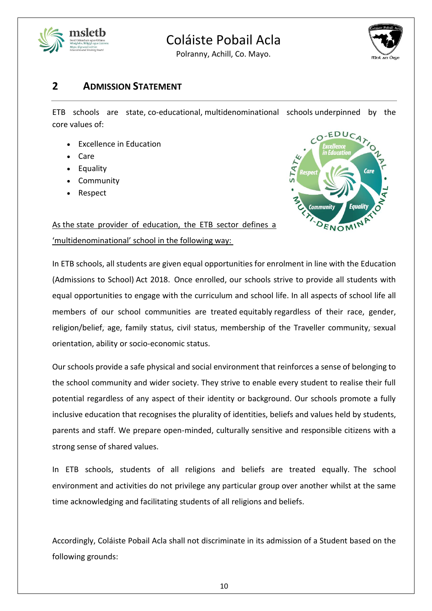

Polranny, Achill, Co. Mayo.



## **2 ADMISSION STATEMENT**

ETB schools are state, co-educational, multidenominational schools underpinned by the core values of:

- Excellence in Education
- Care
- **Equality**
- **Community**
- Respect



As the state provider of education, the ETB sector defines a 'multidenominational' school in the following way:

In ETB schools, all students are given equal opportunities for enrolment in line with the Education (Admissions to School) Act 2018. Once enrolled, our schools strive to provide all students with equal opportunities to engage with the curriculum and school life. In all aspects of school life all members of our school communities are treated equitably regardless of their race, gender, religion/belief, age, family status, civil status, membership of the Traveller community, sexual orientation, ability or socio-economic status.

Our schools provide a safe physical and social environment that reinforces a sense of belonging to the school community and wider society. They strive to enable every student to realise their full potential regardless of any aspect of their identity or background. Our schools promote a fully inclusive education that recognises the plurality of identities, beliefs and values held by students, parents and staff. We prepare open-minded, culturally sensitive and responsible citizens with a strong sense of shared values.

In ETB schools, students of all religions and beliefs are treated equally. The school environment and activities do not privilege any particular group over another whilst at the same time acknowledging and facilitating students of all religions and beliefs.

Accordingly, Coláiste Pobail Acla shall not discriminate in its admission of a Student based on the following grounds: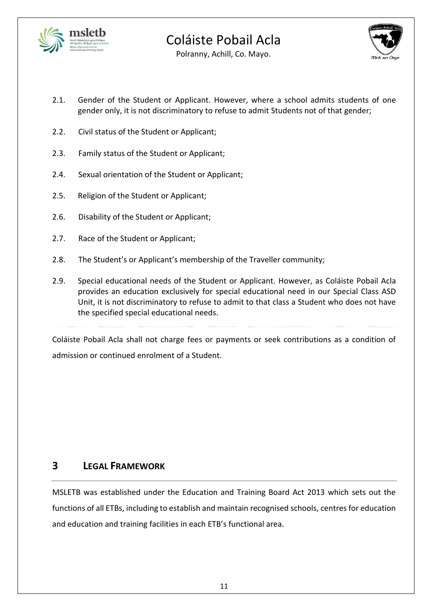



Polranny, Achill, Co. Mayo.

- 2.1. Gender of the Student or Applicant. However, where a school admits students of one gender only, it is not discriminatory to refuse to admit Students not of that gender;
- 2.2. Civil status of the Student or Applicant;
- 2.3. Family status of the Student or Applicant;
- 2.4. Sexual orientation of the Student or Applicant;
- 2.5. Religion of the Student or Applicant;
- 2.6. Disability of the Student or Applicant;
- 2.7. Race of the Student or Applicant;
- 2.8. The Student's or Applicant's membership of the Traveller community;
- 2.9. Special educational needs of the Student or Applicant. However, as Coláiste Pobail Acla provides an education exclusively for special educational need in our Special Class ASD Unit, it is not discriminatory to refuse to admit to that class a Student who does not have the specified special educational needs.

Coláiste Pobail Acla shall not charge fees or payments or seek contributions as a condition of admission or continued enrolment of a Student.

## **3 LEGAL FRAMEWORK**

MSLETB was established under the Education and Training Board Act 2013 which sets out the functions of all ETBs, including to establish and maintain recognised schools, centres for education and education and training facilities in each ETB's functional area.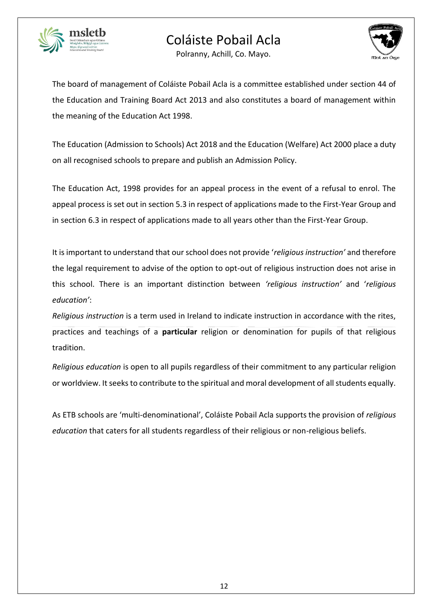



Polranny, Achill, Co. Mayo.

The board of management of Coláiste Pobail Acla is a committee established under section 44 of the Education and Training Board Act 2013 and also constitutes a board of management within the meaning of the Education Act 1998.

The Education (Admission to Schools) Act 2018 and the Education (Welfare) Act 2000 place a duty on all recognised schools to prepare and publish an Admission Policy.

The Education Act, 1998 provides for an appeal process in the event of a refusal to enrol. The appeal process is set out in section 5.3 in respect of applications made to the First-Year Group and in section 6.3 in respect of applications made to all years other than the First-Year Group.

It is important to understand that our school does not provide '*religious instruction'* and therefore the legal requirement to advise of the option to opt-out of religious instruction does not arise in this school. There is an important distinction between *'religious instruction'* and '*religious education'*:

*Religious instruction* is a term used in Ireland to indicate instruction in accordance with the rites, practices and teachings of a **particular** religion or denomination for pupils of that religious tradition.

*Religious education* is open to all pupils regardless of their commitment to any particular religion or worldview. It seeks to contribute to the spiritual and moral development of all students equally.

As ETB schools are 'multi-denominational', Coláiste Pobail Acla supports the provision of *religious education* that caters for all students regardless of their religious or non-religious beliefs.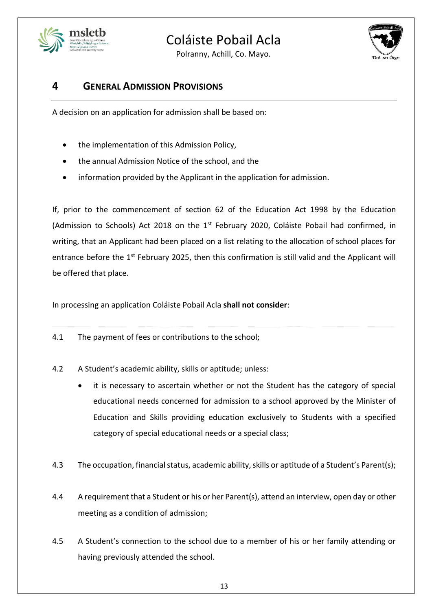

Polranny, Achill, Co. Mayo.



## **4 GENERAL ADMISSION PROVISIONS**

A decision on an application for admission shall be based on:

- the implementation of this Admission Policy,
- the annual Admission Notice of the school, and the
- information provided by the Applicant in the application for admission.

If, prior to the commencement of section 62 of the Education Act 1998 by the Education (Admission to Schools) Act 2018 on the 1<sup>st</sup> February 2020, Coláiste Pobail had confirmed, in writing, that an Applicant had been placed on a list relating to the allocation of school places for entrance before the 1<sup>st</sup> February 2025, then this confirmation is still valid and the Applicant will be offered that place.

In processing an application Coláiste Pobail Acla **shall not consider**:

- 4.1 The payment of fees or contributions to the school;
- 4.2 A Student's academic ability, skills or aptitude; unless:
	- it is necessary to ascertain whether or not the Student has the category of special educational needs concerned for admission to a school approved by the Minister of Education and Skills providing education exclusively to Students with a specified category of special educational needs or a special class;
- 4.3 The occupation, financial status, academic ability, skills or aptitude of a Student's Parent(s);
- 4.4 A requirement that a Student or his or her Parent(s), attend an interview, open day or other meeting as a condition of admission;
- 4.5 A Student's connection to the school due to a member of his or her family attending or having previously attended the school.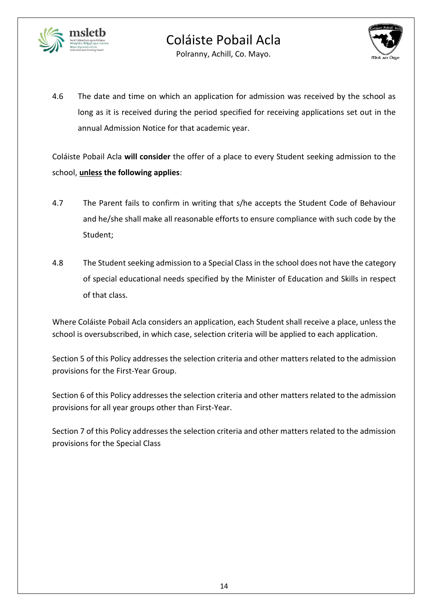



Polranny, Achill, Co. Mayo.

4.6 The date and time on which an application for admission was received by the school as long as it is received during the period specified for receiving applications set out in the annual Admission Notice for that academic year.

Coláiste Pobail Acla **will consider** the offer of a place to every Student seeking admission to the school, **unless the following applies**:

- 4.7 The Parent fails to confirm in writing that s/he accepts the Student Code of Behaviour and he/she shall make all reasonable efforts to ensure compliance with such code by the Student;
- 4.8 The Student seeking admission to a Special Class in the school does not have the category of special educational needs specified by the Minister of Education and Skills in respect of that class.

Where Coláiste Pobail Acla considers an application, each Student shall receive a place, unless the school is oversubscribed, in which case, selection criteria will be applied to each application.

Section 5 of this Policy addresses the selection criteria and other matters related to the admission provisions for the First-Year Group.

Section 6 of this Policy addresses the selection criteria and other matters related to the admission provisions for all year groups other than First-Year.

Section 7 of this Policy addresses the selection criteria and other matters related to the admission provisions for the Special Class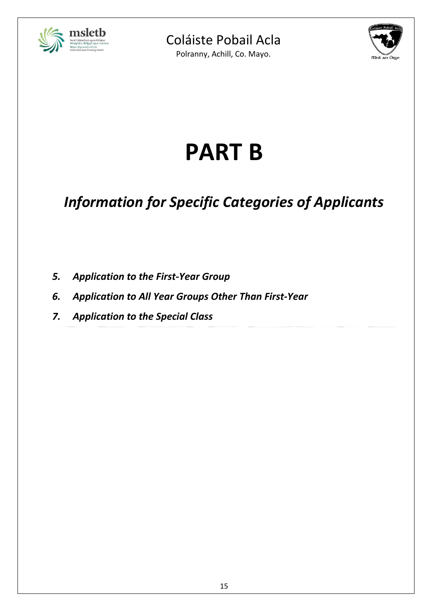

Polranny, Achill, Co. Mayo.



# **PART B**

# *Information for Specific Categories of Applicants*

- *5. Application to the First-Year Group*
- *6. Application to All Year Groups Other Than First-Year*
- *7. Application to the Special Class*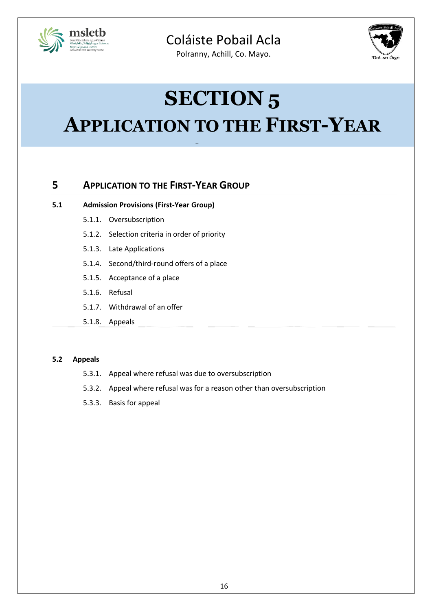

Polranny, Achill, Co. Mayo.



# **SECTION 5**

# **APPLICATION TO THE FIRST-YEAR**

**GROUP**

## **5 APPLICATION TO THE FIRST-YEAR GROUP**

#### **5.1 Admission Provisions (First-Year Group)**

- 5.1.1. Oversubscription
- 5.1.2. Selection criteria in order of priority
- 5.1.3. Late Applications
- 5.1.4. Second/third-round offers of a place
- 5.1.5. Acceptance of a place
- 5.1.6. Refusal
- 5.1.7. Withdrawal of an offer
- 5.1.8. Appeals

#### **5.2 Appeals**

- 5.3.1. Appeal where refusal was due to oversubscription
- 5.3.2. Appeal where refusal was for a reason other than oversubscription
- 5.3.3. Basis for appeal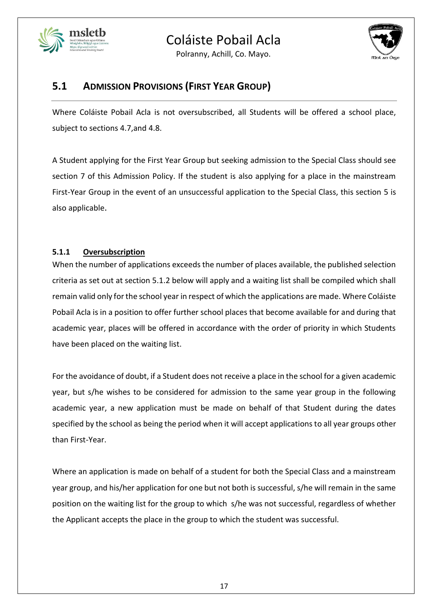

Polranny, Achill, Co. Mayo.



## **5.1 ADMISSION PROVISIONS (FIRST YEAR GROUP)**

Where Coláiste Pobail Acla is not oversubscribed, all Students will be offered a school place, subject to sections 4.7,and 4.8.

A Student applying for the First Year Group but seeking admission to the Special Class should see section 7 of this Admission Policy. If the student is also applying for a place in the mainstream First-Year Group in the event of an unsuccessful application to the Special Class, this section 5 is also applicable.

## **5.1.1 Oversubscription**

When the number of applications exceeds the number of places available, the published selection criteria as set out at section 5.1.2 below will apply and a waiting list shall be compiled which shall remain valid only for the school year in respect of which the applications are made. Where Coláiste Pobail Acla is in a position to offer further school places that become available for and during that academic year, places will be offered in accordance with the order of priority in which Students have been placed on the waiting list.

For the avoidance of doubt, if a Student does not receive a place in the school for a given academic year, but s/he wishes to be considered for admission to the same year group in the following academic year, a new application must be made on behalf of that Student during the dates specified by the school as being the period when it will accept applications to all year groups other than First-Year.

Where an application is made on behalf of a student for both the Special Class and a mainstream year group, and his/her application for one but not both is successful, s/he will remain in the same position on the waiting list for the group to which s/he was not successful, regardless of whether the Applicant accepts the place in the group to which the student was successful.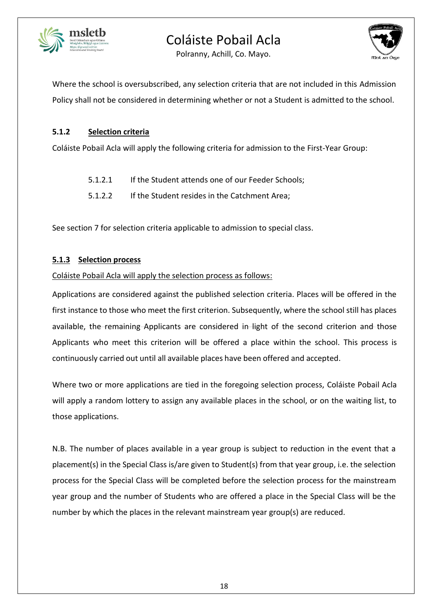



Polranny, Achill, Co. Mayo.

Where the school is oversubscribed, any selection criteria that are not included in this Admission Policy shall not be considered in determining whether or not a Student is admitted to the school.

## **5.1.2 Selection criteria**

Coláiste Pobail Acla will apply the following criteria for admission to the First-Year Group:

- 5.1.2.1 If the Student attends one of our Feeder Schools;
- 5.1.2.2 If the Student resides in the Catchment Area;

See section 7 for selection criteria applicable to admission to special class.

## **5.1.3 Selection process**

Coláiste Pobail Acla will apply the selection process as follows:

Applications are considered against the published selection criteria. Places will be offered in the first instance to those who meet the first criterion. Subsequently, where the school still has places available, the remaining Applicants are considered in light of the second criterion and those Applicants who meet this criterion will be offered a place within the school. This process is continuously carried out until all available places have been offered and accepted.

Where two or more applications are tied in the foregoing selection process, Coláiste Pobail Acla will apply a random lottery to assign any available places in the school, or on the waiting list, to those applications.

N.B. The number of places available in a year group is subject to reduction in the event that a placement(s) in the Special Class is/are given to Student(s) from that year group, i.e. the selection process for the Special Class will be completed before the selection process for the mainstream year group and the number of Students who are offered a place in the Special Class will be the number by which the places in the relevant mainstream year group(s) are reduced.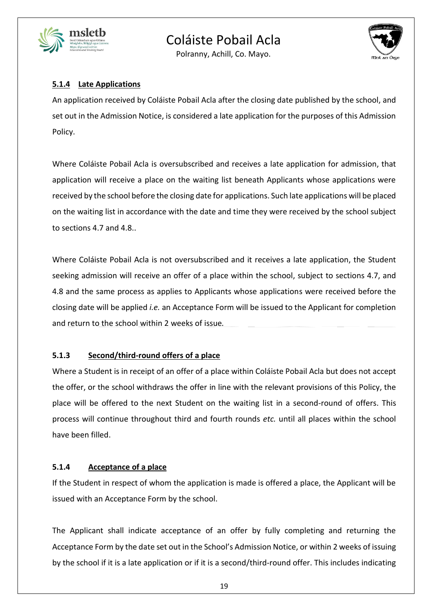

Polranny, Achill, Co. Mayo.



## **5.1.4 Late Applications**

An application received by Coláiste Pobail Acla after the closing date published by the school, and set out in the Admission Notice, is considered a late application for the purposes of this Admission Policy.

Where Coláiste Pobail Acla is oversubscribed and receives a late application for admission, that application will receive a place on the waiting list beneath Applicants whose applications were received by the school before the closing date for applications. Such late applications will be placed on the waiting list in accordance with the date and time they were received by the school subject to sections 4.7 and 4.8..

Where Coláiste Pobail Acla is not oversubscribed and it receives a late application, the Student seeking admission will receive an offer of a place within the school, subject to sections 4.7, and 4.8 and the same process as applies to Applicants whose applications were received before the closing date will be applied *i.e.* an Acceptance Form will be issued to the Applicant for completion and return to the school within 2 weeks of issue*.*

### **5.1.3 Second/third-round offers of a place**

Where a Student is in receipt of an offer of a place within Coláiste Pobail Acla but does not accept the offer, or the school withdraws the offer in line with the relevant provisions of this Policy, the place will be offered to the next Student on the waiting list in a second-round of offers. This process will continue throughout third and fourth rounds *etc.* until all places within the school have been filled.

### **5.1.4 Acceptance of a place**

If the Student in respect of whom the application is made is offered a place, the Applicant will be issued with an Acceptance Form by the school.

The Applicant shall indicate acceptance of an offer by fully completing and returning the Acceptance Form by the date set out in the School's Admission Notice, or within 2 weeks of issuing by the school if it is a late application or if it is a second/third-round offer. This includes indicating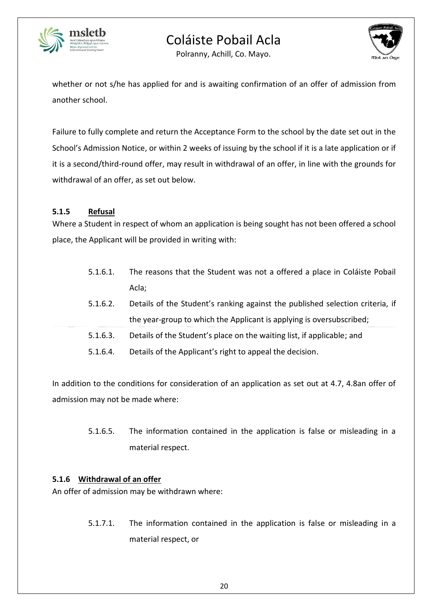



Polranny, Achill, Co. Mayo.

whether or not s/he has applied for and is awaiting confirmation of an offer of admission from another school.

Failure to fully complete and return the Acceptance Form to the school by the date set out in the School's Admission Notice, or within 2 weeks of issuing by the school if it is a late application or if it is a second/third-round offer, may result in withdrawal of an offer, in line with the grounds for withdrawal of an offer, as set out below.

### **5.1.5 Refusal**

Where a Student in respect of whom an application is being sought has not been offered a school place, the Applicant will be provided in writing with:

- 5.1.6.1. The reasons that the Student was not a offered a place in Coláiste Pobail Acla;
- 5.1.6.2. Details of the Student's ranking against the published selection criteria, if the year-group to which the Applicant is applying is oversubscribed;
- 5.1.6.3. Details of the Student's place on the waiting list, if applicable; and
- 5.1.6.4. Details of the Applicant's right to appeal the decision.

In addition to the conditions for consideration of an application as set out at 4.7, 4.8an offer of admission may not be made where:

> 5.1.6.5. The information contained in the application is false or misleading in a material respect.

### **5.1.6 Withdrawal of an offer**

An offer of admission may be withdrawn where:

5.1.7.1. The information contained in the application is false or misleading in a material respect, or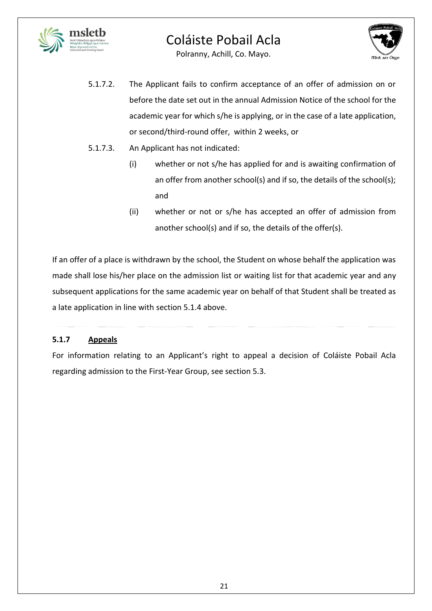



Polranny, Achill, Co. Mayo.

- 5.1.7.2. The Applicant fails to confirm acceptance of an offer of admission on or before the date set out in the annual Admission Notice of the school for the academic year for which s/he is applying, or in the case of a late application, or second/third-round offer, within 2 weeks, or
- 5.1.7.3. An Applicant has not indicated:
	- (i) whether or not s/he has applied for and is awaiting confirmation of an offer from another school(s) and if so, the details of the school(s); and
	- (ii) whether or not or s/he has accepted an offer of admission from another school(s) and if so, the details of the offer(s).

If an offer of a place is withdrawn by the school, the Student on whose behalf the application was made shall lose his/her place on the admission list or waiting list for that academic year and any subsequent applications for the same academic year on behalf of that Student shall be treated as a late application in line with section 5.1.4 above.

## **5.1.7 Appeals**

For information relating to an Applicant's right to appeal a decision of Coláiste Pobail Acla regarding admission to the First-Year Group, see section 5.3.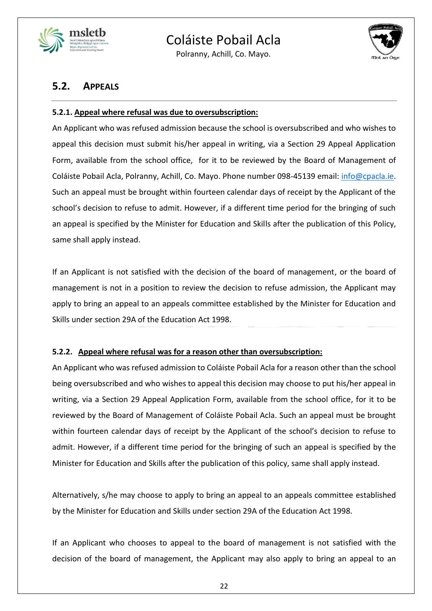

Polranny, Achill, Co. Mayo.



## **5.2. APPEALS**

### **5.2.1. Appeal where refusal was due to oversubscription:**

An Applicant who was refused admission because the school is oversubscribed and who wishes to appeal this decision must submit his/her appeal in writing, via a Section 29 Appeal Application Form, available from the school office, for it to be reviewed by the Board of Management of Coláiste Pobail Acla, Polranny, Achill, Co. Mayo. Phone number 098-45139 email: [info@cpacla.ie.](mailto:info@cpacla.ie) Such an appeal must be brought within fourteen calendar days of receipt by the Applicant of the school's decision to refuse to admit. However, if a different time period for the bringing of such an appeal is specified by the Minister for Education and Skills after the publication of this Policy, same shall apply instead.

If an Applicant is not satisfied with the decision of the board of management, or the board of management is not in a position to review the decision to refuse admission, the Applicant may apply to bring an appeal to an appeals committee established by the Minister for Education and Skills under section 29A of the Education Act 1998.

### **5.2.2. Appeal where refusal was for a reason other than oversubscription:**

An Applicant who was refused admission to Coláiste Pobail Acla for a reason other than the school being oversubscribed and who wishes to appeal this decision may choose to put his/her appeal in writing, via a Section 29 Appeal Application Form, available from the school office, for it to be reviewed by the Board of Management of Coláiste Pobail Acla. Such an appeal must be brought within fourteen calendar days of receipt by the Applicant of the school's decision to refuse to admit. However, if a different time period for the bringing of such an appeal is specified by the Minister for Education and Skills after the publication of this policy, same shall apply instead.

Alternatively, s/he may choose to apply to bring an appeal to an appeals committee established by the Minister for Education and Skills under section 29A of the Education Act 1998.

If an Applicant who chooses to appeal to the board of management is not satisfied with the decision of the board of management, the Applicant may also apply to bring an appeal to an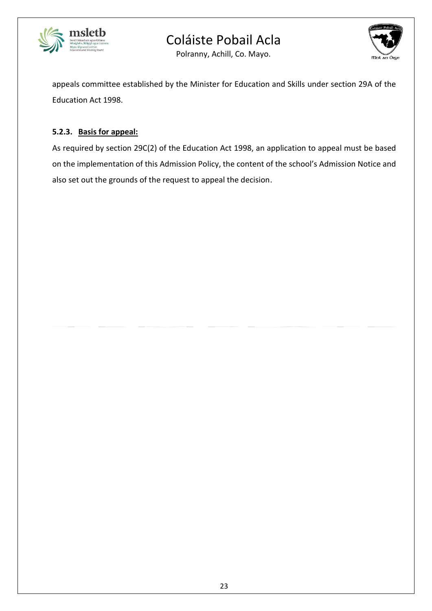



Polranny, Achill, Co. Mayo.

appeals committee established by the Minister for Education and Skills under section 29A of the Education Act 1998.

## **5.2.3. Basis for appeal:**

As required by section 29C(2) of the Education Act 1998, an application to appeal must be based on the implementation of this Admission Policy, the content of the school's Admission Notice and also set out the grounds of the request to appeal the decision.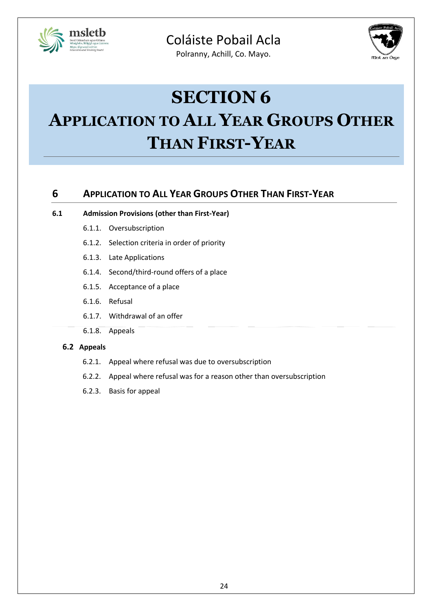

Polranny, Achill, Co. Mayo.



# **SECTION 6**

# **APPLICATION TO ALL YEAR GROUPS OTHER THAN FIRST-YEAR**

## **6 APPLICATION TO ALL YEAR GROUPS OTHER THAN FIRST-YEAR**

### **6.1 Admission Provisions (other than First-Year)**

- 6.1.1. Oversubscription
- 6.1.2. Selection criteria in order of priority
- 6.1.3. Late Applications
- 6.1.4. Second/third-round offers of a place
- 6.1.5. Acceptance of a place
- 6.1.6. Refusal
- 6.1.7. Withdrawal of an offer
- 6.1.8. Appeals

#### **6.2 Appeals**

- 6.2.1. Appeal where refusal was due to oversubscription
- 6.2.2. Appeal where refusal was for a reason other than oversubscription
- 6.2.3. Basis for appeal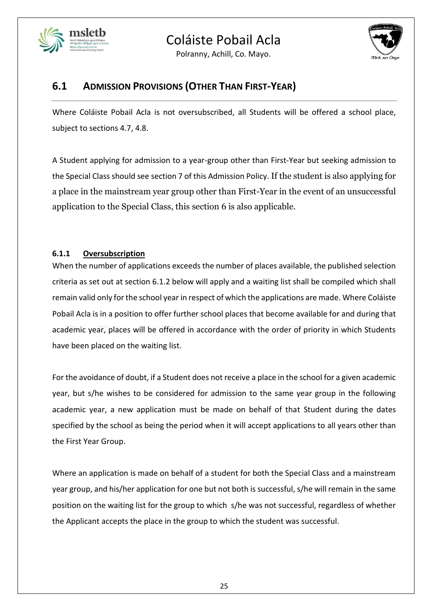





## **6.1 ADMISSION PROVISIONS (OTHER THAN FIRST-YEAR)**

Where Coláiste Pobail Acla is not oversubscribed, all Students will be offered a school place, subject to sections 4.7, 4.8.

A Student applying for admission to a year-group other than First-Year but seeking admission to the Special Class should see section 7 of this Admission Policy. If the student is also applying for a place in the mainstream year group other than First-Year in the event of an unsuccessful application to the Special Class, this section 6 is also applicable.

## **6.1.1 Oversubscription**

When the number of applications exceeds the number of places available, the published selection criteria as set out at section 6.1.2 below will apply and a waiting list shall be compiled which shall remain valid only for the school year in respect of which the applications are made. Where Coláiste Pobail Acla is in a position to offer further school places that become available for and during that academic year, places will be offered in accordance with the order of priority in which Students have been placed on the waiting list.

For the avoidance of doubt, if a Student does not receive a place in the school for a given academic year, but s/he wishes to be considered for admission to the same year group in the following academic year, a new application must be made on behalf of that Student during the dates specified by the school as being the period when it will accept applications to all years other than the First Year Group.

Where an application is made on behalf of a student for both the Special Class and a mainstream year group, and his/her application for one but not both is successful, s/he will remain in the same position on the waiting list for the group to which s/he was not successful, regardless of whether the Applicant accepts the place in the group to which the student was successful.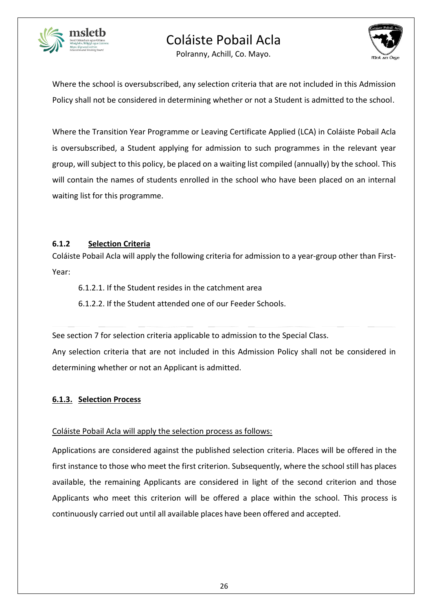

Polranny, Achill, Co. Mayo.



Where the school is oversubscribed, any selection criteria that are not included in this Admission Policy shall not be considered in determining whether or not a Student is admitted to the school.

Where the Transition Year Programme or Leaving Certificate Applied (LCA) in Coláiste Pobail Acla is oversubscribed, a Student applying for admission to such programmes in the relevant year group, will subject to this policy, be placed on a waiting list compiled (annually) by the school. This will contain the names of students enrolled in the school who have been placed on an internal waiting list for this programme.

### **6.1.2 Selection Criteria**

Coláiste Pobail Acla will apply the following criteria for admission to a year-group other than First-Year:

6.1.2.1. If the Student resides in the catchment area

6.1.2.2. If the Student attended one of our Feeder Schools.

See section 7 for selection criteria applicable to admission to the Special Class. Any selection criteria that are not included in this Admission Policy shall not be considered in determining whether or not an Applicant is admitted.

## **6.1.3. Selection Process**

## Coláiste Pobail Acla will apply the selection process as follows:

Applications are considered against the published selection criteria. Places will be offered in the first instance to those who meet the first criterion. Subsequently, where the school still has places available, the remaining Applicants are considered in light of the second criterion and those Applicants who meet this criterion will be offered a place within the school. This process is continuously carried out until all available places have been offered and accepted.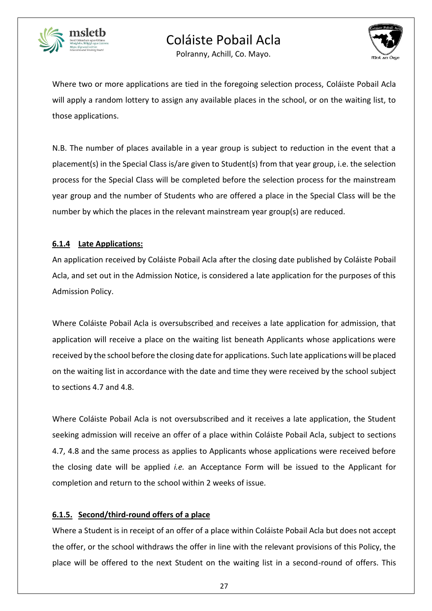



Polranny, Achill, Co. Mayo.

Where two or more applications are tied in the foregoing selection process, Coláiste Pobail Acla will apply a random lottery to assign any available places in the school, or on the waiting list, to those applications.

N.B. The number of places available in a year group is subject to reduction in the event that a placement(s) in the Special Class is/are given to Student(s) from that year group, i.e. the selection process for the Special Class will be completed before the selection process for the mainstream year group and the number of Students who are offered a place in the Special Class will be the number by which the places in the relevant mainstream year group(s) are reduced.

## **6.1.4 Late Applications:**

An application received by Coláiste Pobail Acla after the closing date published by Coláiste Pobail Acla, and set out in the Admission Notice, is considered a late application for the purposes of this Admission Policy.

Where Coláiste Pobail Acla is oversubscribed and receives a late application for admission, that application will receive a place on the waiting list beneath Applicants whose applications were received by the school before the closing date for applications. Such late applications will be placed on the waiting list in accordance with the date and time they were received by the school subject to sections 4.7 and 4.8.

Where Coláiste Pobail Acla is not oversubscribed and it receives a late application, the Student seeking admission will receive an offer of a place within Coláiste Pobail Acla, subject to sections 4.7, 4.8 and the same process as applies to Applicants whose applications were received before the closing date will be applied *i.e.* an Acceptance Form will be issued to the Applicant for completion and return to the school within 2 weeks of issue*.* 

## **6.1.5. Second/third-round offers of a place**

Where a Student is in receipt of an offer of a place within Coláiste Pobail Acla but does not accept the offer, or the school withdraws the offer in line with the relevant provisions of this Policy, the place will be offered to the next Student on the waiting list in a second-round of offers. This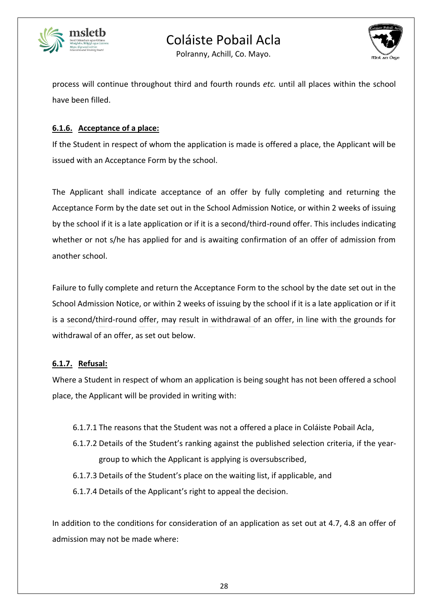



Polranny, Achill, Co. Mayo.

process will continue throughout third and fourth rounds *etc.* until all places within the school have been filled.

## **6.1.6. Acceptance of a place:**

If the Student in respect of whom the application is made is offered a place, the Applicant will be issued with an Acceptance Form by the school.

The Applicant shall indicate acceptance of an offer by fully completing and returning the Acceptance Form by the date set out in the School Admission Notice, or within 2 weeks of issuing by the school if it is a late application or if it is a second/third-round offer. This includes indicating whether or not s/he has applied for and is awaiting confirmation of an offer of admission from another school.

Failure to fully complete and return the Acceptance Form to the school by the date set out in the School Admission Notice, or within 2 weeks of issuing by the school if it is a late application or if it is a second/third-round offer, may result in withdrawal of an offer, in line with the grounds for withdrawal of an offer, as set out below.

## **6.1.7. Refusal:**

Where a Student in respect of whom an application is being sought has not been offered a school place, the Applicant will be provided in writing with:

- 6.1.7.1 The reasons that the Student was not a offered a place in Coláiste Pobail Acla,
- 6.1.7.2 Details of the Student's ranking against the published selection criteria, if the yeargroup to which the Applicant is applying is oversubscribed,
- 6.1.7.3 Details of the Student's place on the waiting list, if applicable, and
- 6.1.7.4 Details of the Applicant's right to appeal the decision.

In addition to the conditions for consideration of an application as set out at 4.7, 4.8 an offer of admission may not be made where: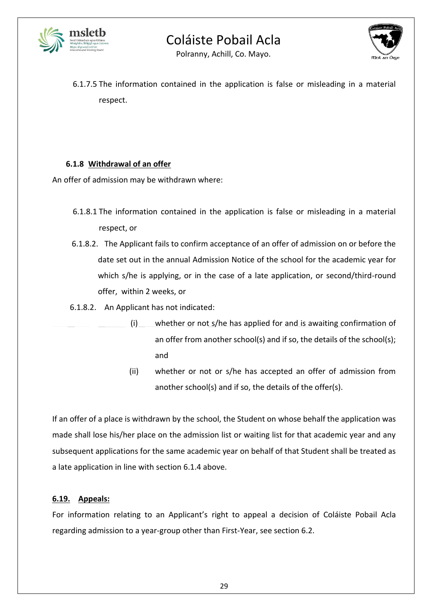



Polranny, Achill, Co. Mayo.

6.1.7.5 The information contained in the application is false or misleading in a material respect.

### **6.1.8 Withdrawal of an offer**

An offer of admission may be withdrawn where:

- 6.1.8.1 The information contained in the application is false or misleading in a material respect, or
- 6.1.8.2. The Applicant fails to confirm acceptance of an offer of admission on or before the date set out in the annual Admission Notice of the school for the academic year for which s/he is applying, or in the case of a late application, or second/third-round offer, within 2 weeks, or
- 6.1.8.2. An Applicant has not indicated:
- (i) whether or not s/he has applied for and is awaiting confirmation of an offer from another school(s) and if so, the details of the school(s); and
	- (ii) whether or not or s/he has accepted an offer of admission from another school(s) and if so, the details of the offer(s).

If an offer of a place is withdrawn by the school, the Student on whose behalf the application was made shall lose his/her place on the admission list or waiting list for that academic year and any subsequent applications for the same academic year on behalf of that Student shall be treated as a late application in line with section 6.1.4 above.

## **6.19. Appeals:**

For information relating to an Applicant's right to appeal a decision of Coláiste Pobail Acla regarding admission to a year-group other than First-Year, see section 6.2.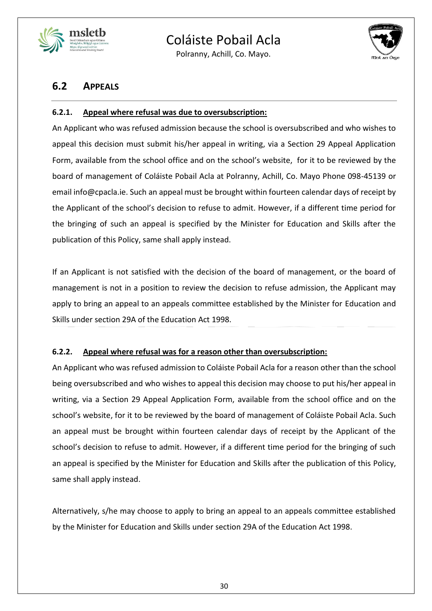

Polranny, Achill, Co. Mayo.



## **6.2 APPEALS**

## **6.2.1. Appeal where refusal was due to oversubscription:**

An Applicant who was refused admission because the school is oversubscribed and who wishes to appeal this decision must submit his/her appeal in writing, via a Section 29 Appeal Application Form, available from the school office and on the school's website, for it to be reviewed by the board of management of Coláiste Pobail Acla at Polranny, Achill, Co. Mayo Phone 098-45139 or email info@cpacla.ie. Such an appeal must be brought within fourteen calendar days of receipt by the Applicant of the school's decision to refuse to admit. However, if a different time period for the bringing of such an appeal is specified by the Minister for Education and Skills after the publication of this Policy, same shall apply instead.

If an Applicant is not satisfied with the decision of the board of management, or the board of management is not in a position to review the decision to refuse admission, the Applicant may apply to bring an appeal to an appeals committee established by the Minister for Education and Skills under section 29A of the Education Act 1998.

### **6.2.2. Appeal where refusal was for a reason other than oversubscription:**

An Applicant who was refused admission to Coláiste Pobail Acla for a reason other than the school being oversubscribed and who wishes to appeal this decision may choose to put his/her appeal in writing, via a Section 29 Appeal Application Form, available from the school office and on the school's website, for it to be reviewed by the board of management of Coláiste Pobail Acla. Such an appeal must be brought within fourteen calendar days of receipt by the Applicant of the school's decision to refuse to admit. However, if a different time period for the bringing of such an appeal is specified by the Minister for Education and Skills after the publication of this Policy, same shall apply instead.

Alternatively, s/he may choose to apply to bring an appeal to an appeals committee established by the Minister for Education and Skills under section 29A of the Education Act 1998.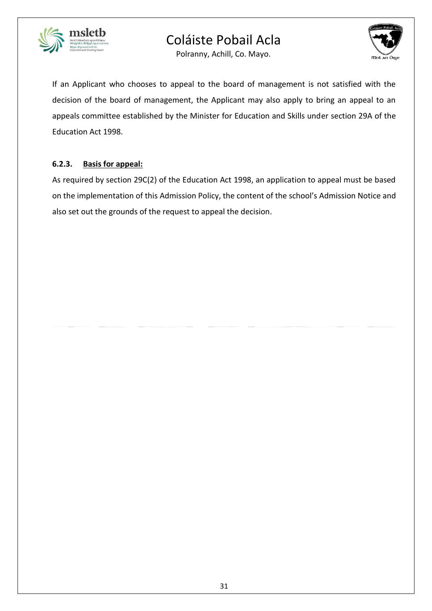



Polranny, Achill, Co. Mayo.

If an Applicant who chooses to appeal to the board of management is not satisfied with the decision of the board of management, the Applicant may also apply to bring an appeal to an appeals committee established by the Minister for Education and Skills under section 29A of the Education Act 1998.

## **6.2.3. Basis for appeal:**

As required by section 29C(2) of the Education Act 1998, an application to appeal must be based on the implementation of this Admission Policy, the content of the school's Admission Notice and also set out the grounds of the request to appeal the decision.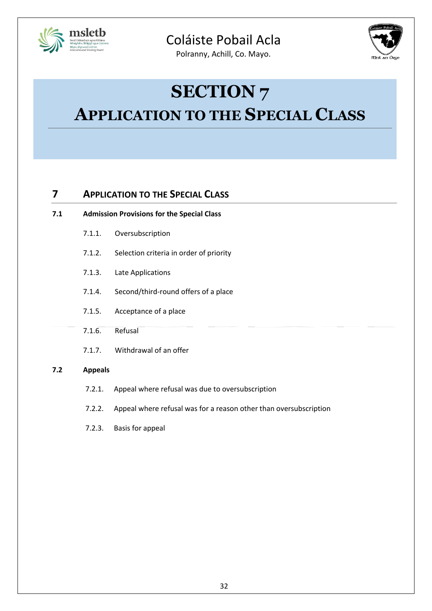

Polranny, Achill, Co. Mayo.



# **SECTION 7 APPLICATION TO THE SPECIAL CLASS**

## **7 APPLICATION TO THE SPECIAL CLASS**

| 7.1 | <b>Admission Provisions for the Special Class</b> |                                                |  |
|-----|---------------------------------------------------|------------------------------------------------|--|
|     |                                                   | 7.1.1. Oversubscription                        |  |
|     |                                                   | 7.1.2. Selection criteria in order of priority |  |

- 7.1.3. Late Applications
- 7.1.4. Second/third-round offers of a place
- 7.1.5. Acceptance of a place
- 7.1.6. Refusal
- 7.1.7. Withdrawal of an offer

### **7.2 Appeals**

- 7.2.1. Appeal where refusal was due to oversubscription
- 7.2.2. Appeal where refusal was for a reason other than oversubscription
- 7.2.3. Basis for appeal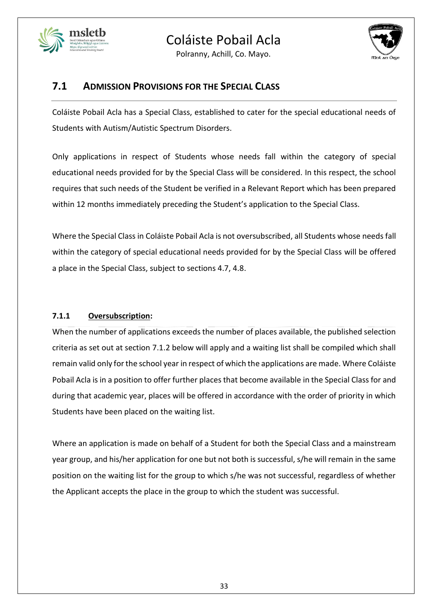

Polranny, Achill, Co. Mayo.



## **7.1 ADMISSION PROVISIONS FOR THE SPECIAL CLASS**

Coláiste Pobail Acla has a Special Class, established to cater for the special educational needs of Students with Autism/Autistic Spectrum Disorders.

Only applications in respect of Students whose needs fall within the category of special educational needs provided for by the Special Class will be considered. In this respect, the school requires that such needs of the Student be verified in a Relevant Report which has been prepared within 12 months immediately preceding the Student's application to the Special Class.

Where the Special Class in Coláiste Pobail Acla is not oversubscribed, all Students whose needs fall within the category of special educational needs provided for by the Special Class will be offered a place in the Special Class, subject to sections 4.7, 4.8.

## **7.1.1 Oversubscription:**

When the number of applications exceeds the number of places available, the published selection criteria as set out at section 7.1.2 below will apply and a waiting list shall be compiled which shall remain valid only for the school year in respect of which the applications are made. Where Coláiste Pobail Acla is in a position to offer further places that become available in the Special Class for and during that academic year, places will be offered in accordance with the order of priority in which Students have been placed on the waiting list.

Where an application is made on behalf of a Student for both the Special Class and a mainstream year group, and his/her application for one but not both is successful, s/he will remain in the same position on the waiting list for the group to which s/he was not successful, regardless of whether the Applicant accepts the place in the group to which the student was successful.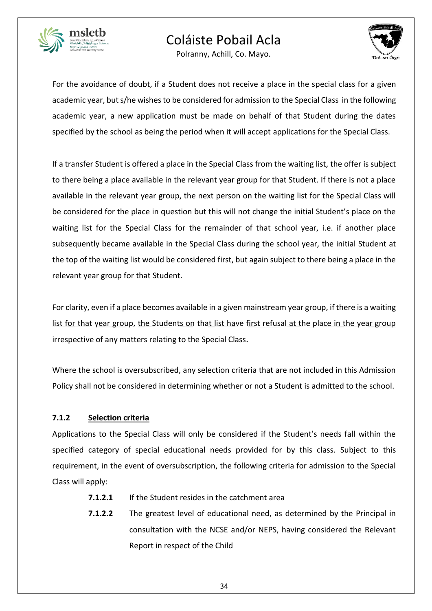

Polranny, Achill, Co. Mayo.



For the avoidance of doubt, if a Student does not receive a place in the special class for a given academic year, but s/he wishes to be considered for admission to the Special Class in the following academic year, a new application must be made on behalf of that Student during the dates specified by the school as being the period when it will accept applications for the Special Class.

If a transfer Student is offered a place in the Special Class from the waiting list, the offer is subject to there being a place available in the relevant year group for that Student. If there is not a place available in the relevant year group, the next person on the waiting list for the Special Class will be considered for the place in question but this will not change the initial Student's place on the waiting list for the Special Class for the remainder of that school year, i.e. if another place subsequently became available in the Special Class during the school year, the initial Student at the top of the waiting list would be considered first, but again subject to there being a place in the relevant year group for that Student.

For clarity, even if a place becomes available in a given mainstream year group, if there is a waiting list for that year group, the Students on that list have first refusal at the place in the year group irrespective of any matters relating to the Special Class.

Where the school is oversubscribed, any selection criteria that are not included in this Admission Policy shall not be considered in determining whether or not a Student is admitted to the school.

### **7.1.2 Selection criteria**

Applications to the Special Class will only be considered if the Student's needs fall within the specified category of special educational needs provided for by this class. Subject to this requirement, in the event of oversubscription, the following criteria for admission to the Special Class will apply:

- **7.1.2.1** If the Student resides in the catchment area
- **7.1.2.2** The greatest level of educational need, as determined by the Principal in consultation with the NCSE and/or NEPS, having considered the Relevant Report in respect of the Child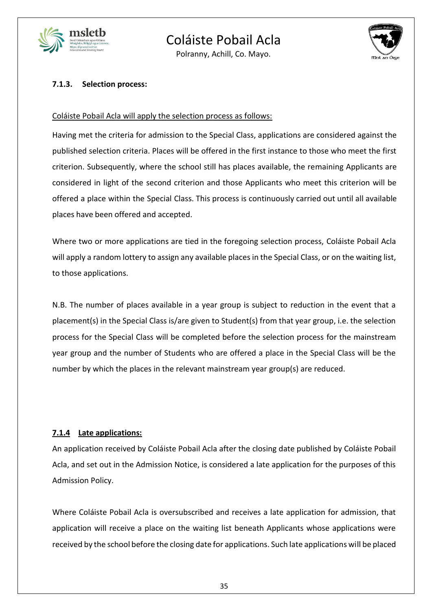

Polranny, Achill, Co. Mayo.



#### **7.1.3. Selection process:**

#### Coláiste Pobail Acla will apply the selection process as follows:

Having met the criteria for admission to the Special Class, applications are considered against the published selection criteria. Places will be offered in the first instance to those who meet the first criterion. Subsequently, where the school still has places available, the remaining Applicants are considered in light of the second criterion and those Applicants who meet this criterion will be offered a place within the Special Class. This process is continuously carried out until all available places have been offered and accepted.

Where two or more applications are tied in the foregoing selection process, Coláiste Pobail Acla will apply a random lottery to assign any available places in the Special Class, or on the waiting list, to those applications.

N.B. The number of places available in a year group is subject to reduction in the event that a placement(s) in the Special Class is/are given to Student(s) from that year group, i.e. the selection process for the Special Class will be completed before the selection process for the mainstream year group and the number of Students who are offered a place in the Special Class will be the number by which the places in the relevant mainstream year group(s) are reduced.

### **7.1.4 Late applications:**

An application received by Coláiste Pobail Acla after the closing date published by Coláiste Pobail Acla, and set out in the Admission Notice, is considered a late application for the purposes of this Admission Policy.

Where Coláiste Pobail Acla is oversubscribed and receives a late application for admission, that application will receive a place on the waiting list beneath Applicants whose applications were received by the school before the closing date for applications. Such late applications will be placed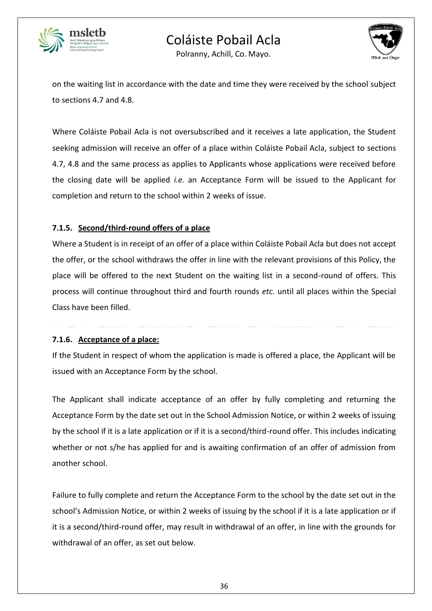



Polranny, Achill, Co. Mayo.

on the waiting list in accordance with the date and time they were received by the school subject to sections 4.7 and 4.8.

Where Coláiste Pobail Acla is not oversubscribed and it receives a late application, the Student seeking admission will receive an offer of a place within Coláiste Pobail Acla, subject to sections 4.7, 4.8 and the same process as applies to Applicants whose applications were received before the closing date will be applied *i.e.* an Acceptance Form will be issued to the Applicant for completion and return to the school within 2 weeks of issue*.* 

## **7.1.5. Second/third-round offers of a place**

Where a Student is in receipt of an offer of a place within Coláiste Pobail Acla but does not accept the offer, or the school withdraws the offer in line with the relevant provisions of this Policy, the place will be offered to the next Student on the waiting list in a second-round of offers. This process will continue throughout third and fourth rounds *etc.* until all places within the Special Class have been filled.

### **7.1.6. Acceptance of a place:**

If the Student in respect of whom the application is made is offered a place, the Applicant will be issued with an Acceptance Form by the school.

The Applicant shall indicate acceptance of an offer by fully completing and returning the Acceptance Form by the date set out in the School Admission Notice, or within 2 weeks of issuing by the school if it is a late application or if it is a second/third-round offer. This includes indicating whether or not s/he has applied for and is awaiting confirmation of an offer of admission from another school.

Failure to fully complete and return the Acceptance Form to the school by the date set out in the school's Admission Notice, or within 2 weeks of issuing by the school if it is a late application or if it is a second/third-round offer, may result in withdrawal of an offer, in line with the grounds for withdrawal of an offer, as set out below.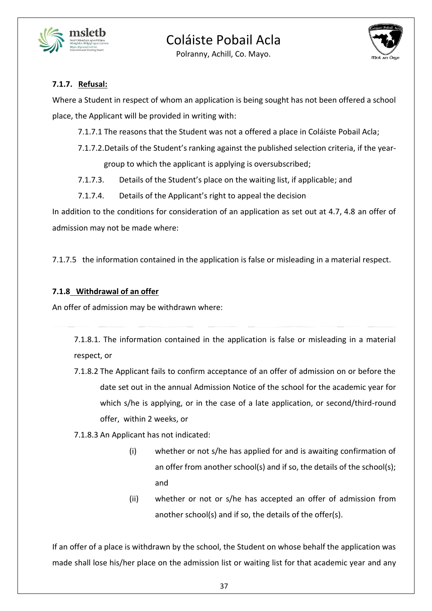



Polranny, Achill, Co. Mayo.

## **7.1.7. Refusal:**

Where a Student in respect of whom an application is being sought has not been offered a school place, the Applicant will be provided in writing with:

- 7.1.7.1 The reasons that the Student was not a offered a place in Coláiste Pobail Acla;
- 7.1.7.2.Details of the Student's ranking against the published selection criteria, if the yeargroup to which the applicant is applying is oversubscribed;
- 7.1.7.3. Details of the Student's place on the waiting list, if applicable; and
- 7.1.7.4. Details of the Applicant's right to appeal the decision

In addition to the conditions for consideration of an application as set out at 4.7, 4.8 an offer of admission may not be made where:

7.1.7.5 the information contained in the application is false or misleading in a material respect.

### **7.1.8 Withdrawal of an offer**

An offer of admission may be withdrawn where:

7.1.8.1. The information contained in the application is false or misleading in a material respect, or

- 7.1.8.2 The Applicant fails to confirm acceptance of an offer of admission on or before the date set out in the annual Admission Notice of the school for the academic year for which s/he is applying, or in the case of a late application, or second/third-round offer, within 2 weeks, or
- 7.1.8.3 An Applicant has not indicated:
	- (i) whether or not s/he has applied for and is awaiting confirmation of an offer from another school(s) and if so, the details of the school(s); and
	- (ii) whether or not or s/he has accepted an offer of admission from another school(s) and if so, the details of the offer(s).

If an offer of a place is withdrawn by the school, the Student on whose behalf the application was made shall lose his/her place on the admission list or waiting list for that academic year and any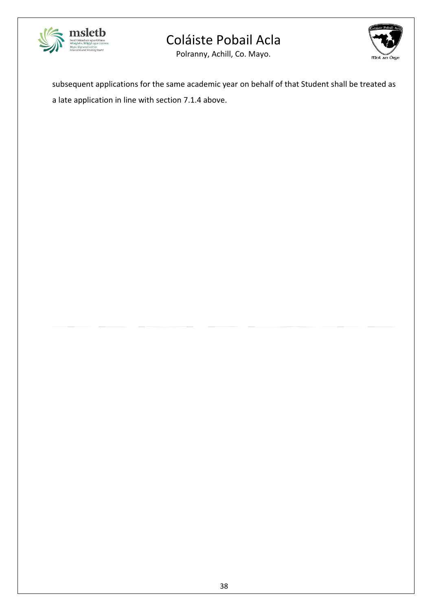





subsequent applications for the same academic year on behalf of that Student shall be treated as a late application in line with section 7.1.4 above.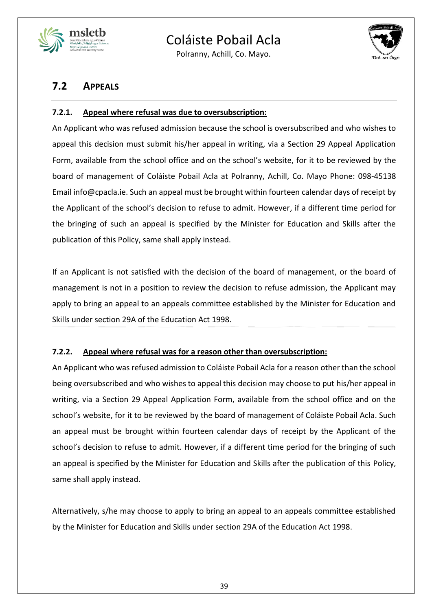

Polranny, Achill, Co. Mayo.



## **7.2 APPEALS**

## **7.2.1. Appeal where refusal was due to oversubscription:**

An Applicant who was refused admission because the school is oversubscribed and who wishes to appeal this decision must submit his/her appeal in writing, via a Section 29 Appeal Application Form, available from the school office and on the school's website, for it to be reviewed by the board of management of Coláiste Pobail Acla at Polranny, Achill, Co. Mayo Phone: 098-45138 Email info@cpacla.ie. Such an appeal must be brought within fourteen calendar days of receipt by the Applicant of the school's decision to refuse to admit. However, if a different time period for the bringing of such an appeal is specified by the Minister for Education and Skills after the publication of this Policy, same shall apply instead.

If an Applicant is not satisfied with the decision of the board of management, or the board of management is not in a position to review the decision to refuse admission, the Applicant may apply to bring an appeal to an appeals committee established by the Minister for Education and Skills under section 29A of the Education Act 1998.

### **7.2.2. Appeal where refusal was for a reason other than oversubscription:**

An Applicant who was refused admission to Coláiste Pobail Acla for a reason other than the school being oversubscribed and who wishes to appeal this decision may choose to put his/her appeal in writing, via a Section 29 Appeal Application Form, available from the school office and on the school's website, for it to be reviewed by the board of management of Coláiste Pobail Acla. Such an appeal must be brought within fourteen calendar days of receipt by the Applicant of the school's decision to refuse to admit. However, if a different time period for the bringing of such an appeal is specified by the Minister for Education and Skills after the publication of this Policy, same shall apply instead.

Alternatively, s/he may choose to apply to bring an appeal to an appeals committee established by the Minister for Education and Skills under section 29A of the Education Act 1998.